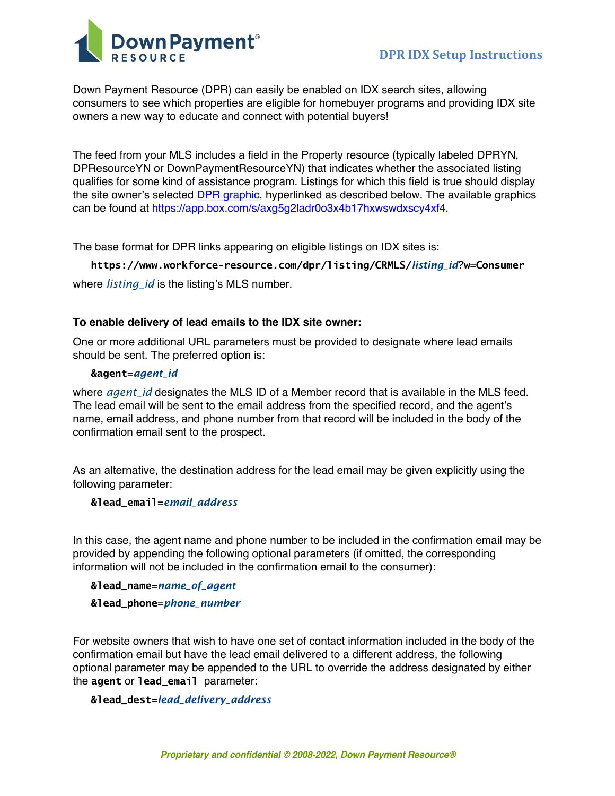

Down Payment Resource (DPR) can easily be enabled on IDX search sites, allowing consumers to see which properties are eligible for homebuyer programs and providing IDX site owners a new way to educate and connect with potential buyers!

The feed from your MLS includes a field in the Property resource (typically labeled DPRYN, DPResourceYN or DownPaymentResourceYN) that indicates whether the associated listing qualifies for some kind of assistance program. Listings for which this field is true should display the site owner's selected DPR graphic, hyperlinked as described below. The available graphics can be found at https://app.box.com/s/axg5g2ladr0o3x4b17hxwswdxscy4xf4.

The base format for DPR links appearing on eligible listings on IDX sites is:

# **https://www.workforce-resource.com/dpr/listing/CRMLS/***listing\_id***?w=Consumer**

where *listing\_id* is the listing's MLS number.

# **To enable delivery of lead emails to the IDX site owner:**

One or more additional URL parameters must be provided to designate where lead emails should be sent. The preferred option is:

### **&agent=***agent\_id*

where *agent\_id* designates the MLS ID of a Member record that is available in the MLS feed. The lead email will be sent to the email address from the specified record, and the agent's name, email address, and phone number from that record will be included in the body of the confirmation email sent to the prospect.

As an alternative, the destination address for the lead email may be given explicitly using the following parameter:

### **&lead\_email=***email\_address*

In this case, the agent name and phone number to be included in the confirmation email may be provided by appending the following optional parameters (if omitted, the corresponding information will not be included in the confirmation email to the consumer):

**&lead\_name=***name\_of\_agent* **&lead\_phone=***phone\_number*

For website owners that wish to have one set of contact information included in the body of the confirmation email but have the lead email delivered to a different address, the following optional parameter may be appended to the URL to override the address designated by either the **agent** or **lead\_email** parameter:

### **&lead\_dest=***lead\_delivery\_address*